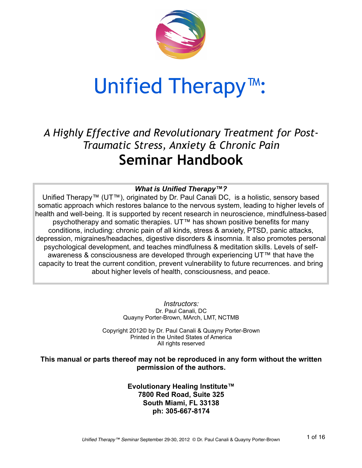

## Unified Therapy™:

### *A Highly Effective and Revolutionary Treatment for Post-Traumatic Stress, Anxiety & Chronic Pain* **Seminar Handbook**

### *What is Unified Therapy™?*

Unified Therapy™ (UT™), originated by Dr. Paul Canali DC, is a holistic, sensory based somatic approach which restores balance to the nervous system, leading to higher levels of health and well-being. It is supported by recent research in neuroscience, mindfulness-based psychotherapy and somatic therapies. UT™ has shown positive benefits for many conditions, including: chronic pain of all kinds, stress & anxiety, PTSD, panic attacks, depression, migraines/headaches, digestive disorders & insomnia. It also promotes personal psychological development, and teaches mindfulness & meditation skills. Levels of selfawareness & consciousness are developed through experiencing UT™ that have the capacity to treat the current condition, prevent vulnerability to future recurrences. and bring about higher levels of health, consciousness, and peace.

> *Instructors:* Dr. Paul Canali, DC Quayny Porter-Brown, MArch, LMT, NCTMB

Copyright 2012© by Dr. Paul Canali & Quayny Porter-Brown Printed in the United States of America All rights reserved

**This manual or parts thereof may not be reproduced in any form without the written permission of the authors.**

> **Evolutionary Healing Institute™ 7800 Red Road, Suite 325 South Miami, FL 33138 ph: 305-667-8174**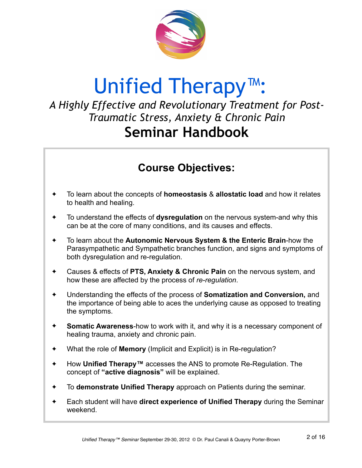

## Unified Therapy™:

### *A Highly Effective and Revolutionary Treatment for Post-Traumatic Stress, Anxiety & Chronic Pain* **Seminar Handbook**

### **Course Objectives:**

- ✦ To learn about the concepts of **homeostasis** & **allostatic load** and how it relates to health and healing.
- ✦ To understand the effects of **dysregulation** on the nervous system-and why this can be at the core of many conditions, and its causes and effects.
- ✦ To learn about the **Autonomic Nervous System & the Enteric Brain**-how the Parasympathetic and Sympathetic branches function, and signs and symptoms of both dysregulation and re-regulation.
- ✦ Causes & effects of **PTS, Anxiety & Chronic Pain** on the nervous system, and how these are affected by the process of *re-regulation*.
- ✦ Understanding the effects of the process of **Somatization and Conversion,** and the importance of being able to aces the underlying cause as opposed to treating the symptoms.
- ✦ **Somatic Awareness**-how to work with it, and why it is a necessary component of healing trauma, anxiety and chronic pain.
- ✦ What the role of **Memory** (Implicit and Explicit) is in Re-regulation?
- ✦ How **Unified Therapy™** accesses the ANS to promote Re-Regulation. The concept of **"active diagnosis"** will be explained.
- ✦ To **demonstrate Unified Therapy** approach on Patients during the seminar.
- ✦ Each student will have **direct experience of Unified Therapy** during the Seminar weekend.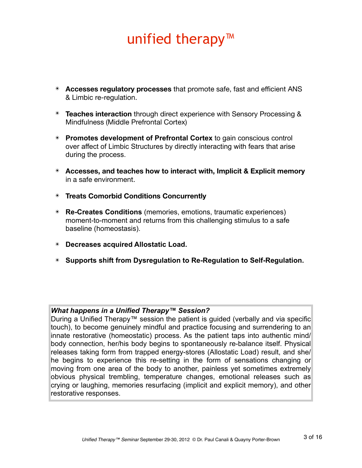## unified therapy™

- ✴ **Accesses regulatory processes** that promote safe, fast and efficient ANS & Limbic re-regulation.
- ✴ **Teaches interaction** through direct experience with Sensory Processing & Mindfulness (Middle Prefrontal Cortex)
- ✴ **Promotes development of Prefrontal Cortex** to gain conscious control over affect of Limbic Structures by directly interacting with fears that arise during the process.
- ✴ **Accesses, and teaches how to interact with, Implicit & Explicit memory** in a safe environment.
- ✴ **Treats Comorbid Conditions Concurrently**
- ✴ **Re-Creates Conditions** (memories, emotions, traumatic experiences) moment-to-moment and returns from this challenging stimulus to a safe baseline (homeostasis).
- ✴ **Decreases acquired Allostatic Load.**
- ✴ **Supports shift from Dysregulation to Re-Regulation to Self-Regulation.**

### *What happens in a Unified Therapy™ Session?*

During a Unified Therapy™ session the patient is quided (verbally and via specific touch), to become genuinely mindful and practice focusing and surrendering to an innate restorative (homeostatic) process. As the patient taps into authentic mind/ body connection, her/his body begins to spontaneously re-balance itself. Physical releases taking form from trapped energy-stores (Allostatic Load) result, and she/ he begins to experience this re-setting in the form of sensations changing or moving from one area of the body to another, painless yet sometimes extremely obvious physical trembling, temperature changes, emotional releases such as crying or laughing, memories resurfacing (implicit and explicit memory), and other restorative responses.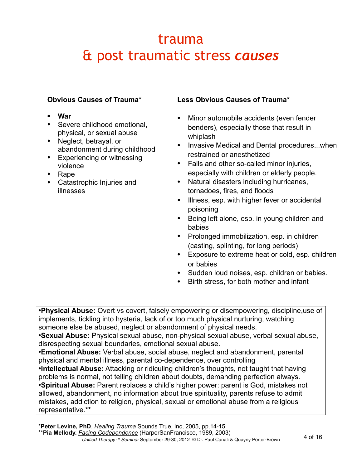## trauma & post traumatic stress *causes*

### **Obvious Causes of Trauma\***

- **• War**
- Severe childhood emotional. physical, or sexual abuse
- Neglect, betrayal, or abandonment during childhood
- Experiencing or witnessing violence
- Rape
- Catastrophic Injuries and illnesses

### **Less Obvious Causes of Trauma\***

- Minor automobile accidents (even fender benders), especially those that result in whiplash
- Invasive Medical and Dental procedures...when restrained or anesthetized
- Falls and other so-called minor injuries, especially with children or elderly people.
- Natural disasters including hurricanes, tornadoes, fires, and floods
- Illness, esp. with higher fever or accidental poisoning
- Being left alone, esp. in young children and babies
- Prolonged immobilization, esp. in children (casting, splinting, for long periods)
- Exposure to extreme heat or cold, esp. children or babies
- Sudden loud noises, esp. children or babies.
- Birth stress, for both mother and infant

•**Physical Abuse:** Overt vs covert, falsely empowering or disempowering, discipline,use of implements, tickling into hysteria, lack of or too much physical nurturing, watching someone else be abused, neglect or abandonment of physical needs.

•**Sexual Abuse:** Physical sexual abuse, non-physical sexual abuse, verbal sexual abuse, disrespecting sexual boundaries, emotional sexual abuse.

•**Emotional Abuse:** Verbal abuse, social abuse, neglect and abandonment, parental physical and mental illness, parental co-dependence, over controlling

•**Intellectual Abuse:** Attacking or ridiculing children's thoughts, not taught that having problems is normal, not telling children about doubts, demanding perfection always. •**Spiritual Abuse:** Parent replaces a child's higher power: parent is God, mistakes not allowed, abandonment, no information about true spirituality, parents refuse to admit mistakes, addiction to religion, physical, sexual or emotional abuse from a religious representative.**\*\***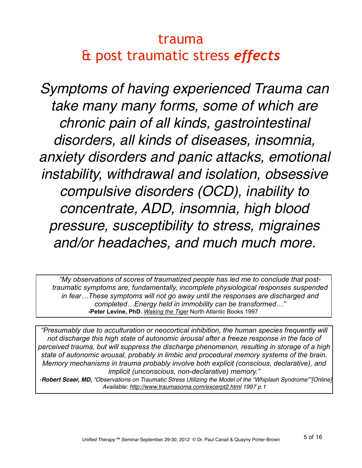## trauma & post traumatic stress *effects*

*Symptoms of having experienced Trauma can take many many forms, some of which are chronic pain of all kinds, gastrointestinal disorders, all kinds of diseases, insomnia, anxiety disorders and panic attacks, emotional instability, withdrawal and isolation, obsessive compulsive disorders (OCD), inability to concentrate, ADD, insomnia, high blood pressure, susceptibility to stress, migraines and/or headaches, and much much more.* 

*"My observations of scores of traumatized people has led me to conclude that posttraumatic symptoms are, fundamentally, incomplete physiological responses suspended in fear…These symptoms will not go away until the responses are discharged and completed…Energy held in immobility can be transformed…"*  **-Peter Levine, PhD**. *Waking the Tiger* North Atlantic Books 1997

*"Presumably due to acculturation or neocortical inhibition, the human species frequently will not discharge this high state of autonomic arousal after a freeze response in the face of perceived trauma, but will suppress the discharge phenomenon, resulting in storage of a high state of autonomic arousal, probably in limbic and procedural memory systems of the brain. Memory mechanisms in trauma probably involve both explicit (conscious, declarative), and implicit (unconscious, non-declarative) memory."*

*-Robert Scaer, MD, "Observations on Traumatic Stress Utilizing the Model of the "Whiplash Syndrome""[Online] Available:<http://www.traumasoma.com/excerpt2.html>1997 p.1*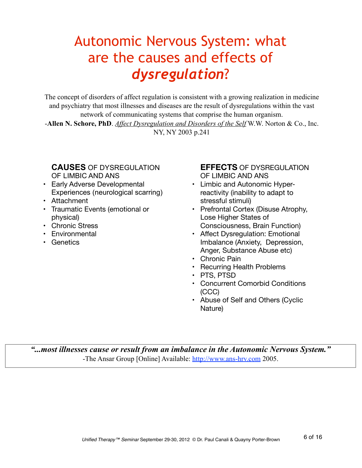## Autonomic Nervous System: what are the causes and effects of *dysregulation*?

The concept of disorders of affect regulation is consistent with a growing realization in medicine and psychiatry that most illnesses and diseases are the result of dysregulations within the vast network of communicating systems that comprise the human organism.

-**Allen N. Schore, PhD**. *Affect Dysregulation and Disorders of the Self* W.W. Norton & Co., Inc. NY, NY 2003 p.241

### **CAUSES** OF DYSREGULATION OF LIMBIC AND ANS

- Early Adverse Developmental Experiences (neurological scarring)
- Attachment
- Traumatic Events (emotional or physical)
- Chronic Stress
- Environmental
- Genetics

### **EFFECTS** OF DYSREGULATION OF LIMBIC AND ANS

- Limbic and Autonomic Hyperreactivity (inability to adapt to stressful stimuli)
- Prefrontal Cortex (Disuse Atrophy, Lose Higher States of Consciousness, Brain Function)
- Affect Dysregulation: Emotional Imbalance (Anxiety, Depression, Anger, Substance Abuse etc)
- Chronic Pain
- Recurring Health Problems
- PTS, PTSD
- Concurrent Comorbid Conditions (CCC)
- Abuse of Self and Others (Cyclic Nature)

*"...most illnesses cause or result from an imbalance in the Autonomic Nervous System."* -The Ansar Group [Online] Available:<http://www.ans-hrv.com>2005.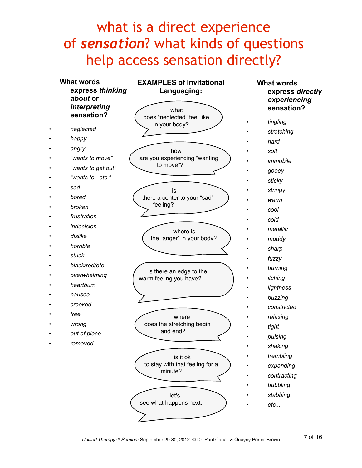## what is a direct experience of *sensation*? what kinds of questions help access sensation directly?



7 of 16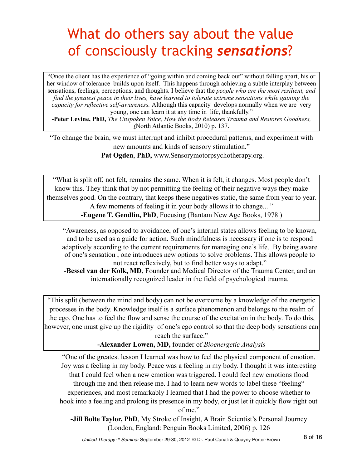## What do others say about the value of consciously tracking *sensations*?

"Once the client has the experience of "going within and coming back out" without falling apart, his or her window of tolerance builds upon itself. This happens through achieving a subtle interplay between sensations, feelings, perceptions, and thoughts. I believe that the *people who are the most resilient, and find the greatest peace in their lives, have learned to tolerate extreme sensations while gaining the capacity for reflective self-awareness.* Although this capacity develops normally when we are very young, one can learn it at any time in life, thankfully."

**-Peter Levine, PhD,** *The Unspoken Voice, How the Body Releases Trauma and Restores Goodness, (*North Atlantic Books, 2010) p. 137.

"To change the brain, we must interrupt and inhibit procedural patterns, and experiment with new amounts and kinds of sensory stimulation."

-**Pat Ogden**, **PhD,** www.Sensorymotorpsychotherapy.org.

"What is split off, not felt, remains the same. When it is felt, it changes. Most people don't know this. They think that by not permitting the feeling of their negative ways they make themselves good. On the contrary, that keeps these negatives static, the same from year to year. A few moments of feeling it in your body allows it to change... " **-Eugene T. Gendlin, PhD**, Focusing (Bantam New Age Books, 1978)

"Awareness, as opposed to avoidance, of one's internal states allows feeling to be known, and to be used as a guide for action. Such mindfulness is necessary if one is to respond adaptively according to the current requirements for managing one's life. By being aware of one's sensation , one introduces new options to solve problems. This allows people to not react reflexively, but to find better ways to adapt."

-**Bessel van der Kolk, MD**, Founder and Medical Director of the Trauma Center, and an internationally recognized leader in the field of psychological trauma.

"This split (between the mind and body) can not be overcome by a knowledge of the energetic processes in the body. Knowledge itself is a surface phenomenon and belongs to the realm of the ego. One has to feel the flow and sense the course of the excitation in the body. To do this, however, one must give up the rigidity of one's ego control so that the deep body sensations can reach the surface."

**-Alexander Lowen, MD,** founder of *Bioenergetic Analysis*

"One of the greatest lesson I learned was how to feel the physical component of emotion. Joy was a feeling in my body. Peace was a feeling in my body. I thought it was interesting that I could feel when a new emotion was triggered. I could feel new emotions flood through me and then release me. I had to learn new words to label these "feeling" experiences, and most remarkably I learned that I had the power to choose whether to hook into a feeling and prolong its presence in my body, or just let it quickly flow right out of me."

**-Jill Bolte Taylor, PhD**, My Stroke of Insight, A Brain Scientist's Personal Journey (London, England: Penguin Books Limited, 2006) p. 126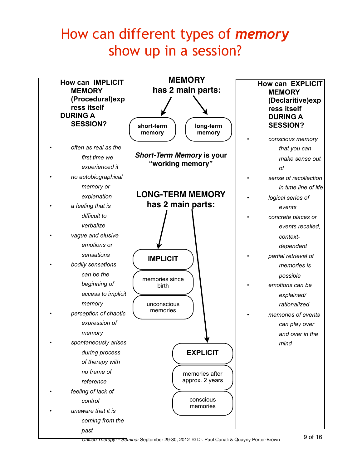## How can different types of *memory* show up in a session?

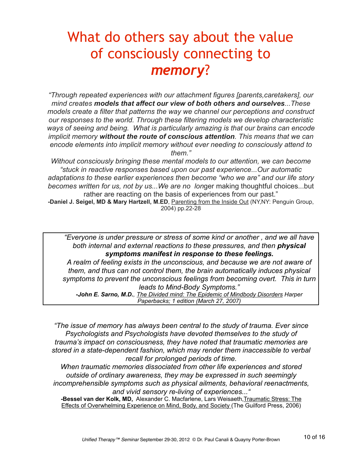## What do others say about the value of consciously connecting to *memory*?

*"Through repeated experiences with our attachment figures [parents,caretakers], our mind creates models that affect our view of both others and ourselves...These models create a filter that patterns the way we channel our perceptions and construct our responses to the world. Through these filtering models we develop characteristic ways of seeing and being. What is particularly amazing is that our brains can encode implicit memory without the route of conscious attention. This means that we can encode elements into implicit memory without ever needing to consciously attend to them."*

*Without consciously bringing these mental models to our attention, we can become "stuck in reactive responses based upon our past experience...Our automatic adaptations to these earlier experiences then become "who we are" and our life story becomes written for us, not by us...We are no lon*ger making thoughtful choices...but rather are reacting on the basis of experiences from our past."

**-Daniel J. Seigel, MD & Mary Hartzell, M.ED**, Parenting from the Inside Out (NY,NY: Penguin Group, 2004) pp.22-28

*"Everyone is under pressure or stress of some kind or another , and we all have both internal and external reactions to these pressures, and then physical symptoms manifest in response to these feelings.*

*A realm of feeling exists in the unconscious, and because we are not aware of them, and thus can not control them, the brain automatically induces physical symptoms to prevent the unconscious feelings from becoming overt. This in turn leads to Mind-Body Symptoms."*

*-John E. Sarno, M.D., The Divided mind: The Epidemic of Mindbody Disorders Harper Paperbacks; 1 edition (March 27, 2007)*

*"The issue of memory has always been central to the study of trauma. Ever since Psychologists and Psychologists have devoted themselves to the study of trauma's impact on consciousness, they have noted that traumatic memories are stored in a state-dependent fashion, which may render them inaccessible to verbal recall for prolonged periods of time.* 

*When traumatic memories dissociated from other life experiences and stored outside of ordinary awareness, they may be expressed in such seemingly incomprehensible symptoms such as physical ailments, behavioral reenactments, and vivid sensory re-living of experiences..."*

**-Bessel van der Kolk, MD,** Alexander C. Macfarlene, [Lars Weisaeth,](http://www.amazon.com/s/ref=ntt_athr_dp_sr_3?_encoding=UTF8&sort=relevancerank&search-alias=books&field-author=Lars%20Weisaeth)Traumatic Stress: The Effects of Overwhelming Experience on Mind, Body, and Society (The Guilford Press, 2006)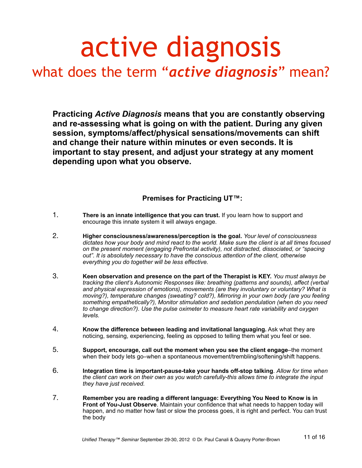## active diagnosis what does the term "*active diagnosis*" mean?

**Practicing** *Active Diagnosis* **means that you are constantly observing and re-assessing what is going on with the patient. During any given session, symptoms/affect/physical sensations/movements can shift and change their nature within minutes or even seconds. It is important to stay present, and adjust your strategy at any moment depending upon what you observe.**

### **Premises for Practicing UT™:**

- 1. **There is an innate intelligence that you can trust.** If you learn how to support and encourage this innate system it will always engage.
- 2. **Higher consciousness/awareness/perception is the goal.** *Your level of consciousness dictates how your body and mind react to the world. Make sure the client is at all times focused on the present moment (engaging Prefrontal activity), not distracted, dissociated, or "spacing out". It is absolutely necessary to have the conscious attention of the client, otherwise everything you do together will be less effective.*
- 3. **Keen observation and presence on the part of the Therapist is KEY.** *You must always be tracking the client's Autonomic Responses like: breathing (patterns and sounds), affect (verbal and physical expression of emotions), movements (are they involuntary or voluntary? What is moving?), temperature changes (sweating? cold?), Mirroring in your own body (are you feeling something empathetically?), Monitor stimulation and sedation pendulation (when do you need to change direction?). Use the pulse oximeter to measure heart rate variability and oxygen levels.*
- 4. **Know the difference between leading and invitational languaging.** Ask what they are noticing, sensing, experiencing, feeling as opposed to telling them what you feel or see.
- 5. **Support, encourage, call out the moment when you see the client engage**–the moment when their body lets go–when a spontaneous movement/trembling/softening/shift happens.
- 6. **Integration time is important-pause-take your hands off-stop talking**. *Allow for time when the client can work on their own as you watch carefully-this allows time to integrate the input they have just received.*
- 7. **Remember you are reading a different language: Everything You Need to Know is in Front of You-Just Observe**. Maintain your confidence that what needs to happen today will happen, and no matter how fast or slow the process goes, it is right and perfect. You can trust the body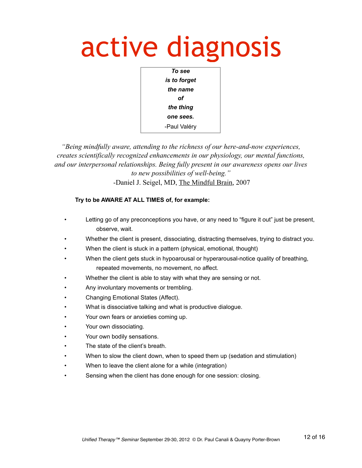## active diagnosis



*"Being mindfully aware, attending to the richness of our here-and-now experiences, creates scientifically recognized enhancements in our physiology, our mental functions, and our interpersonal relationships. Being fully present in our awareness opens our lives to new possibilities of well-being."* -Daniel J. Seigel, MD, The Mindful Brain, 2007

### **Try to be AWARE AT ALL TIMES of, for example:**

- Letting go of any preconceptions you have, or any need to "figure it out" just be present, observe, wait.
- Whether the client is present, dissociating, distracting themselves, trying to distract you.
- When the client is stuck in a pattern (physical, emotional, thought)
- When the client gets stuck in hypoarousal or hyperarousal-notice quality of breathing, repeated movements, no movement, no affect.
- Whether the client is able to stay with what they are sensing or not.
- Any involuntary movements or trembling.
- Changing Emotional States (Affect).
- What is dissociative talking and what is productive dialoque.
- Your own fears or anxieties coming up.
- Your own dissociating.
- Your own bodily sensations.
- The state of the client's breath.
- When to slow the client down, when to speed them up (sedation and stimulation)
- When to leave the client alone for a while (integration)
- Sensing when the client has done enough for one session: closing.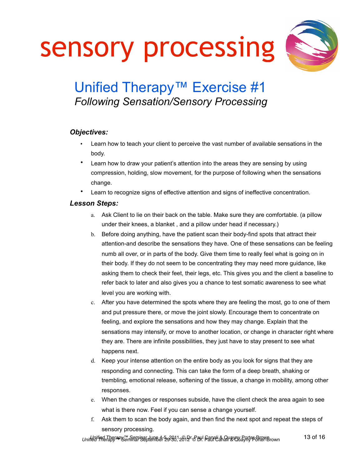sensory processing



## Unified Therapy<sup>™</sup> Exercise #1 *Following Sensation/Sensory Processing*

### *Objectives:*

- Learn how to teach your client to perceive the vast number of available sensations in the body.
- Learn how to draw your patient's attention into the areas they are sensing by using compression, holding, slow movement, for the purpose of following when the sensations change.
- Learn to recognize signs of effective attention and signs of ineffective concentration.

### *Lesson Steps:*

- a. Ask Client to lie on their back on the table. Make sure they are comfortable. (a pillow under their knees, a blanket , and a pillow under head if necessary.)
- b. Before doing anything, have the patient scan their body-find spots that attract their attention-and describe the sensations they have. One of these sensations can be feeling numb all over, or in parts of the body. Give them time to really feel what is going on in their body. If they do not seem to be concentrating they may need more guidance, like asking them to check their feet, their legs, etc. This gives you and the client a baseline to refer back to later and also gives you a chance to test somatic awareness to see what level you are working with.
- c. After you have determined the spots where they are feeling the most, go to one of them and put pressure there, or move the joint slowly. Encourage them to concentrate on feeling, and explore the sensations and how they may change. Explain that the sensations may intensify, or move to another location, or change in character right where they are. There are infinite possibilities, they just have to stay present to see what happens next.
- d. Keep your intense attention on the entire body as you look for signs that they are responding and connecting. This can take the form of a deep breath, shaking or trembling, emotional release, softening of the tissue, a change in mobility, among other responses.
- e. When the changes or responses subside, have the client check the area again to see what is there now. Feel if you can sense a change yourself.
- f. Ask them to scan the body again, and then find the next spot and repeat the steps of sensory processing.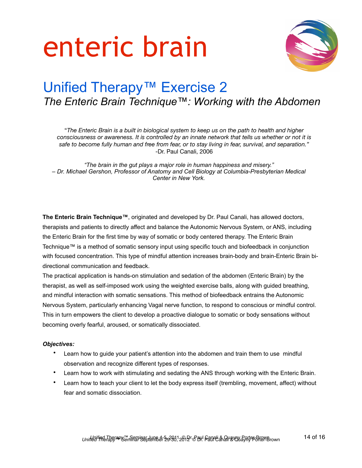# enteric brain



## Unified Therapy<sup>™</sup> Exercise 2 *The Enteric Brain Technique™: Working with the Abdomen*

"*The Enteric Brain is a built in biological system to keep us on the path to health and higher consciousness or awareness. It is controlled by an innate network that tells us whether or not it is safe to become fully human and free from fear, or to stay living in fear, survival, and separation."* -Dr. Paul Canali, 2006

*"The brain in the gut plays a major role in human happiness and misery." – Dr. Michael Gershon, Professor of Anatomy and Cell Biology at Columbia-Presbyterian Medical Center in New York.*

**The Enteric Brain Technique™**, originated and developed by Dr. Paul Canali, has allowed doctors, therapists and patients to directly affect and balance the Autonomic Nervous System, or ANS, including the Enteric Brain for the first time by way of somatic or body centered therapy. The Enteric Brain Technique™ is a method of somatic sensory input using specific touch and biofeedback in conjunction with focused concentration. This type of mindful attention increases brain-body and brain-Enteric Brain bidirectional communication and feedback.

The practical application is hands-on stimulation and sedation of the abdomen (Enteric Brain) by the therapist, as well as self-imposed work using the weighted exercise balls, along with guided breathing, and mindful interaction with somatic sensations. This method of biofeedback entrains the Autonomic Nervous System, particularly enhancing Vagal nerve function, to respond to conscious or mindful control. This in turn empowers the client to develop a proactive dialogue to somatic or body sensations without becoming overly fearful, aroused, or somatically dissociated.

### *Objectives:*

- Learn how to guide your patient's attention into the abdomen and train them to use mindful observation and recognize different types of responses.
- Learn how to work with stimulating and sedating the ANS through working with the Enteric Brain.
- Learn how to teach your client to let the body express itself (trembling, movement, affect) without fear and somatic dissociation.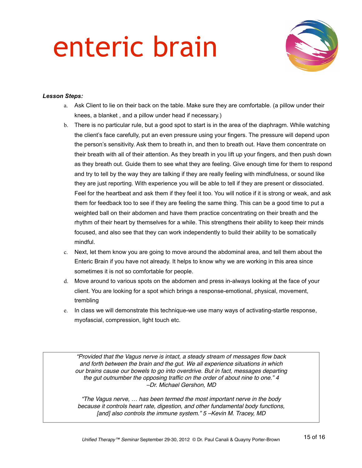# enteric brain



### *Lesson Steps:*

- a. Ask Client to lie on their back on the table. Make sure they are comfortable. (a pillow under their knees, a blanket , and a pillow under head if necessary.)
- b. There is no particular rule, but a good spot to start is in the area of the diaphragm. While watching the client's face carefully, put an even pressure using your fingers. The pressure will depend upon the person's sensitivity. Ask them to breath in, and then to breath out. Have them concentrate on their breath with all of their attention. As they breath in you lift up your fingers, and then push down as they breath out. Guide them to see what they are feeling. Give enough time for them to respond and try to tell by the way they are talking if they are really feeling with mindfulness, or sound like they are just reporting. With experience you will be able to tell if they are present or dissociated. Feel for the heartbeat and ask them if they feel it too. You will notice if it is strong or weak, and ask them for feedback too to see if they are feeling the same thing. This can be a good time to put a weighted ball on their abdomen and have them practice concentrating on their breath and the rhythm of their heart by themselves for a while. This strengthens their ability to keep their minds focused, and also see that they can work independently to build their ability to be somatically mindful.
- c. Next, let them know you are going to move around the abdominal area, and tell them about the Enteric Brain if you have not already. It helps to know why we are working in this area since sometimes it is not so comfortable for people.
- d. Move around to various spots on the abdomen and press in-always looking at the face of your client. You are looking for a spot which brings a response-emotional, physical, movement, trembling
- e. In class we will demonstrate this technique-we use many ways of activating-startle response, myofascial, compression, light touch etc.

*"Provided that the Vagus nerve is intact, a steady stream of messages flow back and forth between the brain and the gut. We all experience situations in which our brains cause our bowels to go into overdrive. But in fact, messages departing the gut outnumber the opposing traffic on the order of about nine to one." 4 –Dr. Michael Gershon, MD*

*"The Vagus nerve, … has been termed the most important nerve in the body because it controls heart rate, digestion, and other fundamental body functions, [and] also controls the immune system." 5 –Kevin M. Tracey, MD*